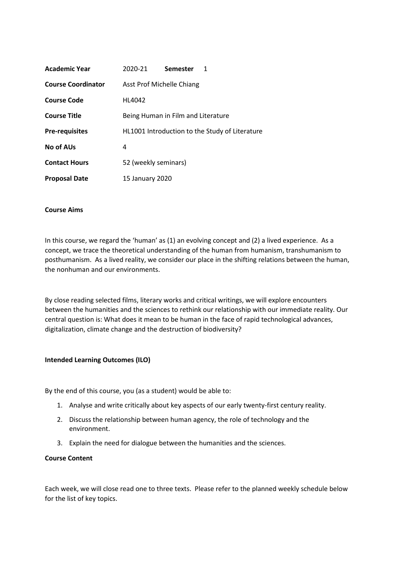| Academic Year             | 2020-21                                        | Semester |  |  |  |  |  |
|---------------------------|------------------------------------------------|----------|--|--|--|--|--|
| <b>Course Coordinator</b> | Asst Prof Michelle Chiang                      |          |  |  |  |  |  |
| Course Code               | HL4042                                         |          |  |  |  |  |  |
| <b>Course Title</b>       | Being Human in Film and Literature             |          |  |  |  |  |  |
| <b>Pre-requisites</b>     | HL1001 Introduction to the Study of Literature |          |  |  |  |  |  |
| <b>No of AUs</b>          |                                                |          |  |  |  |  |  |
| <b>Contact Hours</b>      | 52 (weekly seminars)                           |          |  |  |  |  |  |
| <b>Proposal Date</b>      | 15 January 2020                                |          |  |  |  |  |  |

#### **Course Aims**

In this course, we regard the 'human' as (1) an evolving concept and (2) a lived experience. As a concept, we trace the theoretical understanding of the human from humanism, transhumanism to posthumanism. As a lived reality, we consider our place in the shifting relations between the human, the nonhuman and our environments.

By close reading selected films, literary works and critical writings, we will explore encounters between the humanities and the sciences to rethink our relationship with our immediate reality. Our central question is: What does it mean to be human in the face of rapid technological advances, digitalization, climate change and the destruction of biodiversity?

#### **Intended Learning Outcomes (ILO)**

By the end of this course, you (as a student) would be able to:

- 1. Analyse and write critically about key aspects of our early twenty-first century reality.
- 2. Discuss the relationship between human agency, the role of technology and the environment.
- 3. Explain the need for dialogue between the humanities and the sciences.

#### **Course Content**

Each week, we will close read one to three texts. Please refer to the planned weekly schedule below for the list of key topics.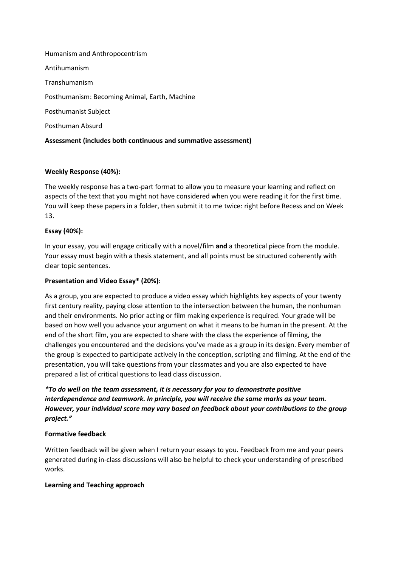Humanism and Anthropocentrism

Antihumanism

Transhumanism

Posthumanism: Becoming Animal, Earth, Machine

Posthumanist Subject

Posthuman Absurd

# **Assessment (includes both continuous and summative assessment)**

# **Weekly Response (40%):**

The weekly response has a two-part format to allow you to measure your learning and reflect on aspects of the text that you might not have considered when you were reading it for the first time. You will keep these papers in a folder, then submit it to me twice: right before Recess and on Week 13.

# **Essay (40%):**

In your essay, you will engage critically with a novel/film **and** a theoretical piece from the module. Your essay must begin with a thesis statement, and all points must be structured coherently with clear topic sentences.

# **Presentation and Video Essay\* (20%):**

As a group, you are expected to produce a video essay which highlights key aspects of your twenty first century reality, paying close attention to the intersection between the human, the nonhuman and their environments. No prior acting or film making experience is required. Your grade will be based on how well you advance your argument on what it means to be human in the present. At the end of the short film, you are expected to share with the class the experience of filming, the challenges you encountered and the decisions you've made as a group in its design. Every member of the group is expected to participate actively in the conception, scripting and filming. At the end of the presentation, you will take questions from your classmates and you are also expected to have prepared a list of critical questions to lead class discussion.

*\*To do well on the team assessment, it is necessary for you to demonstrate positive interdependence and teamwork. In principle, you will receive the same marks as your team. However, your individual score may vary based on feedback about your contributions to the group project."*

## **Formative feedback**

Written feedback will be given when I return your essays to you. Feedback from me and your peers generated during in-class discussions will also be helpful to check your understanding of prescribed works.

## **Learning and Teaching approach**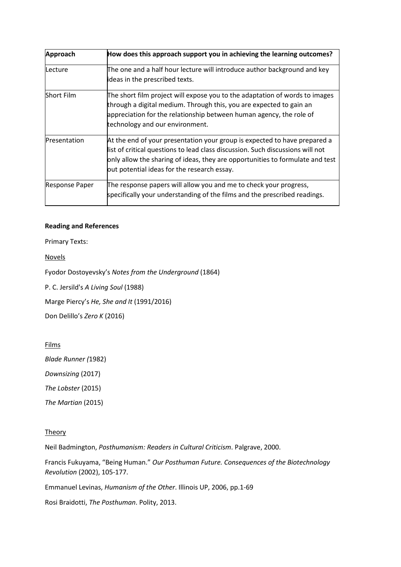| Approach                                                                                                                                                                                                                                                                   | How does this approach support you in achieving the learning outcomes?                                                                                                                                                                                                                      |  |  |  |
|----------------------------------------------------------------------------------------------------------------------------------------------------------------------------------------------------------------------------------------------------------------------------|---------------------------------------------------------------------------------------------------------------------------------------------------------------------------------------------------------------------------------------------------------------------------------------------|--|--|--|
| lLecture                                                                                                                                                                                                                                                                   | The one and a half hour lecture will introduce author background and key<br>ideas in the prescribed texts.                                                                                                                                                                                  |  |  |  |
| Short Film<br>The short film project will expose you to the adaptation of words to images<br>through a digital medium. Through this, you are expected to gain an<br>appreciation for the relationship between human agency, the role of<br>technology and our environment. |                                                                                                                                                                                                                                                                                             |  |  |  |
| Presentation                                                                                                                                                                                                                                                               | At the end of your presentation your group is expected to have prepared a<br>list of critical questions to lead class discussion. Such discussions will not<br>only allow the sharing of ideas, they are opportunities to formulate and test<br>out potential ideas for the research essay. |  |  |  |
| <b>Response Paper</b>                                                                                                                                                                                                                                                      | The response papers will allow you and me to check your progress,<br>specifically your understanding of the films and the prescribed readings.                                                                                                                                              |  |  |  |

## **Reading and References**

Primary Texts:

**Novels** 

Fyodor Dostoyevsky's *Notes from the Underground* (1864)

P. C. Jersild's *A Living Soul* (1988)

Marge Piercy's *He, She and It*(1991/2016)

Don Delillo's *Zero K* (2016)

Films

*Blade Runner (*1982)

*Downsizing* (2017)

*The Lobster* (2015)

*The Martian* (2015)

## **Theory**

Neil Badmington, *Posthumanism: Readers in Cultural Criticism*. Palgrave, 2000.

Francis Fukuyama, "Being Human." *Our Posthuman Future. Consequences of the Biotechnology Revolution* (2002), 105-177.

Emmanuel Levinas, *Humanism of the Other*. Illinois UP, 2006, pp.1-69

Rosi Braidotti, *The Posthuman*. Polity, 2013.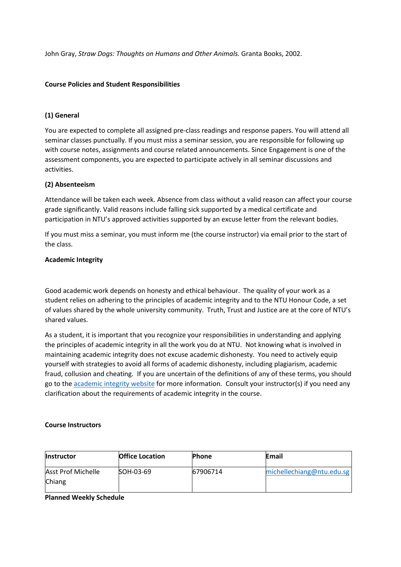John Gray, *Straw Dogs: Thoughts on Humans and Other Animals.* Granta Books, 2002.

#### **Course Policies and Student Responsibilities**

## **(1) General**

You are expected to complete all assigned pre-class readings and response papers. You will attend all seminar classes punctually. If you must miss a seminar session, you are responsible for following up with course notes, assignments and course related announcements. Since Engagement is one of the assessment components, you are expected to participate actively in all seminar discussions and activities.

# **(2) Absenteeism**

Attendance will be taken each week. Absence from class without a valid reason can affect your course grade significantly. Valid reasons include falling sick supported by a medical certificate and participation in NTU's approved activities supported by an excuse letter from the relevant bodies.

If you must miss a seminar, you must inform me (the course instructor) via email prior to the start of the class.

#### **Academic Integrity**

Good academic work depends on honesty and ethical behaviour. The quality of your work as a student relies on adhering to the principles of academic integrity and to the NTU Honour Code, a set of values shared by the whole university community. Truth, Trust and Justice are at the core of NTU's shared values.

As a student, it is important that you recognize your responsibilities in understanding and applying the principles of academic integrity in all the work you do at NTU. Not knowing what is involved in maintaining academic integrity does not excuse academic dishonesty. You need to actively equip yourself with strategies to avoid all forms of academic dishonesty, including plagiarism, academic fraud, collusion and cheating. If you are uncertain of the definitions of any of these terms, you should go to the [academic integrity website](http://www.ntu.edu.sg/ai/ForEveryone/Pages/NTUAcademicIntegrityPolicy.aspx) for more information. Consult your instructor(s) if you need any clarification about the requirements of academic integrity in the course.

| <b>Office Location</b>  | <b>Phone</b> | Email                     |
|-------------------------|--------------|---------------------------|
|                         |              |                           |
| SOH-03-69               | 67906714     | michellechiang@ntu.edu.sg |
|                         |              |                           |
| Planned Weekly Schedule |              |                           |
|                         |              |                           |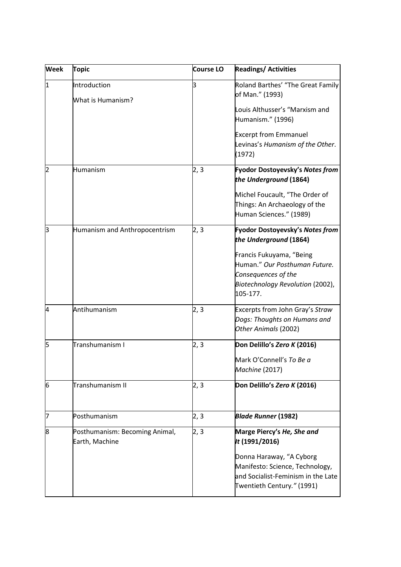| <b>Week</b>     | <b>Topic</b>                                     | Course LO | <b>Readings/ Activities</b>                                                                                                                                                                   |
|-----------------|--------------------------------------------------|-----------|-----------------------------------------------------------------------------------------------------------------------------------------------------------------------------------------------|
| 11.             | Introduction<br>What is Humanism?                | з         | Roland Barthes' "The Great Family<br>of Man." (1993)<br>Louis Althusser's "Marxism and<br>Humanism." (1996)<br><b>Excerpt from Emmanuel</b><br>Levinas's Humanism of the Other.<br>(1972)     |
| 2               | Humanism                                         | 2, 3      | Fyodor Dostoyevsky's Notes from<br>the Underground (1864)<br>Michel Foucault, "The Order of<br>Things: An Archaeology of the<br>Human Sciences." (1989)                                       |
| 3               | Humanism and Anthropocentrism                    | 2, 3      | Fyodor Dostoyevsky's Notes from<br>the Underground (1864)<br>Francis Fukuyama, "Being<br>Human." Our Posthuman Future.<br>Consequences of the<br>Biotechnology Revolution (2002),<br>105-177. |
| 4               | Antihumanism                                     | 2, 3      | Excerpts from John Gray's Straw<br>Dogs: Thoughts on Humans and<br>Other Animals (2002)                                                                                                       |
| ļ5              | Transhumanism I                                  | 2, 3      | Don Delillo's Zero K (2016)<br>Mark O'Connell's To Be a<br>Machine (2017)                                                                                                                     |
| $6\phantom{.}6$ | Transhumanism II                                 | 2, 3      | Don Delillo's Zero K (2016)                                                                                                                                                                   |
| 17              | Posthumanism                                     | 2,3       | <b>Blade Runner (1982)</b>                                                                                                                                                                    |
| 8               | Posthumanism: Becoming Animal,<br>Earth, Machine | 2, 3      | Marge Piercy's He, She and<br>It (1991/2016)<br>Donna Haraway, "A Cyborg<br>Manifesto: Science, Technology,<br>and Socialist-Feminism in the Late<br>Twentieth Century." (1991)               |